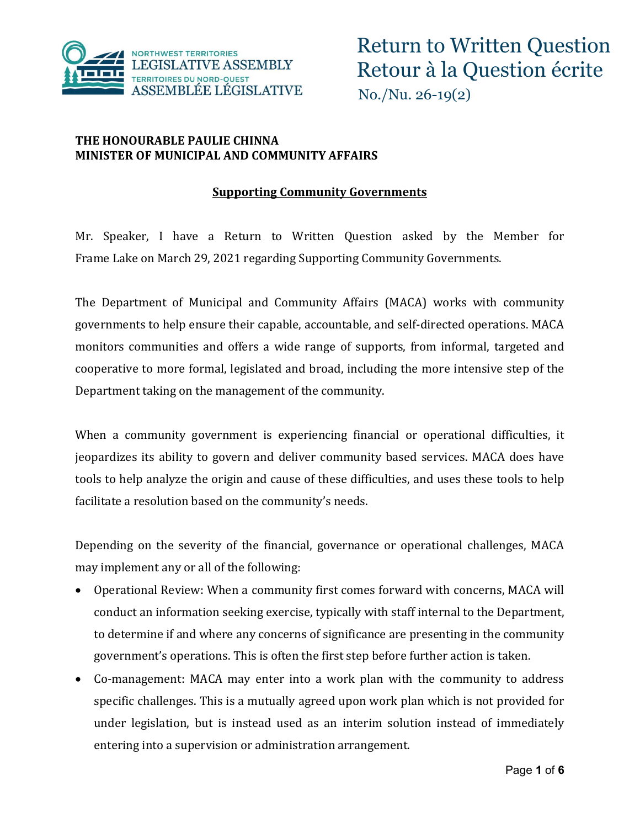

#### **THE HONOURABLE PAULIE CHINNA MINISTER OF MUNICIPAL AND COMMUNITY AFFAIRS**

#### **Supporting Community Governments**

Mr. Speaker, I have a Return to Written Question asked by the Member for Frame Lake on March 29, 2021 regarding Supporting Community Governments.

The Department of Municipal and Community Affairs (MACA) works with community governments to help ensure their capable, accountable, and self-directed operations. MACA monitors communities and offers a wide range of supports, from informal, targeted and cooperative to more formal, legislated and broad, including the more intensive step of the Department taking on the management of the community.

When a community government is experiencing financial or operational difficulties, it jeopardizes its ability to govern and deliver community based services. MACA does have tools to help analyze the origin and cause of these difficulties, and uses these tools to help facilitate a resolution based on the community's needs.

Depending on the severity of the financial, governance or operational challenges, MACA may implement any or all of the following:

- Operational Review: When a community first comes forward with concerns, MACA will conduct an information seeking exercise, typically with staff internal to the Department, to determine if and where any concerns of significance are presenting in the community government's operations. This is often the first step before further action is taken.
- Co-management: MACA may enter into a work plan with the community to address specific challenges. This is a mutually agreed upon work plan which is not provided for under legislation, but is instead used as an interim solution instead of immediately entering into a supervision or administration arrangement.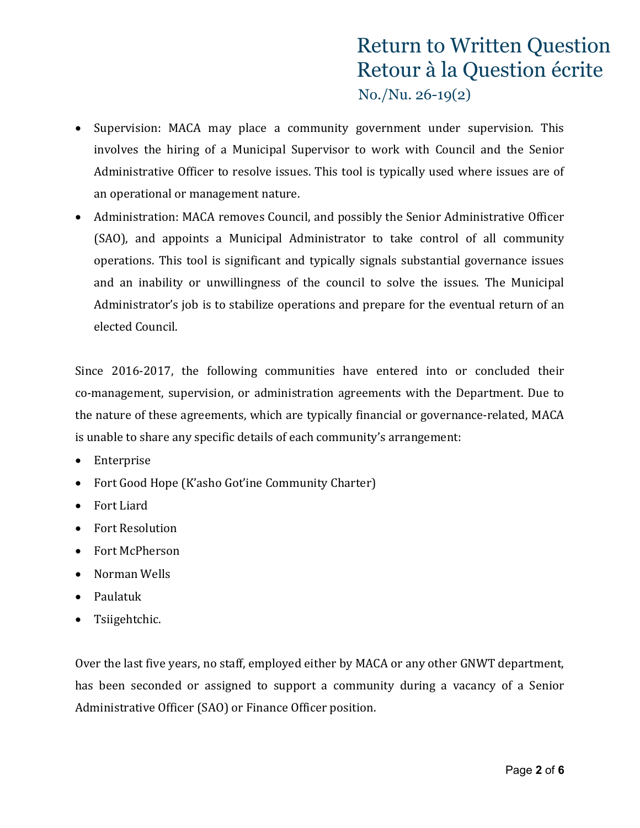- Supervision: MACA may place a community government under supervision. This involves the hiring of a Municipal Supervisor to work with Council and the Senior Administrative Officer to resolve issues. This tool is typically used where issues are of an operational or management nature.
- Administration: MACA removes Council, and possibly the Senior Administrative Officer (SAO), and appoints a Municipal Administrator to take control of all community operations. This tool is significant and typically signals substantial governance issues and an inability or unwillingness of the council to solve the issues. The Municipal Administrator's job is to stabilize operations and prepare for the eventual return of an elected Council.

Since 2016-2017, the following communities have entered into or concluded their co-management, supervision, or administration agreements with the Department. Due to the nature of these agreements, which are typically financial or governance-related, MACA is unable to share any specific details of each community's arrangement:

- Enterprise
- Fort Good Hope (K'asho Got'ine Community Charter)
- Fort Liard
- Fort Resolution
- Fort McPherson
- Norman Wells
- Paulatuk
- Tsiigehtchic.

Over the last five years, no staff, employed either by MACA or any other GNWT department, has been seconded or assigned to support a community during a vacancy of a Senior Administrative Officer (SAO) or Finance Officer position.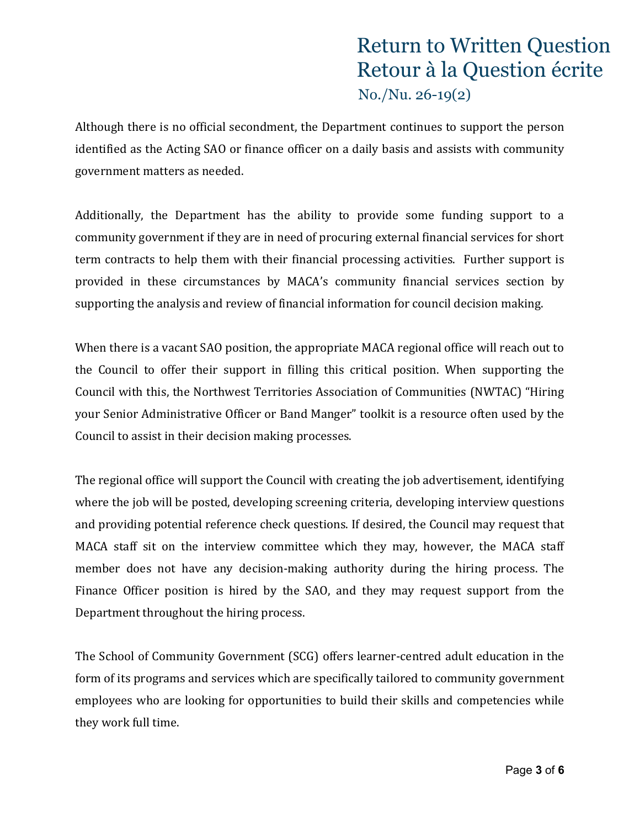Although there is no official secondment, the Department continues to support the person identified as the Acting SAO or finance officer on a daily basis and assists with community government matters as needed.

Additionally, the Department has the ability to provide some funding support to a community government if they are in need of procuring external financial services for short term contracts to help them with their financial processing activities. Further support is provided in these circumstances by MACA's community financial services section by supporting the analysis and review of financial information for council decision making.

When there is a vacant SAO position, the appropriate MACA regional office will reach out to the Council to offer their support in filling this critical position. When supporting the Council with this, the Northwest Territories Association of Communities (NWTAC) "Hiring your Senior Administrative Officer or Band Manger" toolkit is a resource often used by the Council to assist in their decision making processes.

The regional office will support the Council with creating the job advertisement, identifying where the job will be posted, developing screening criteria, developing interview questions and providing potential reference check questions. If desired, the Council may request that MACA staff sit on the interview committee which they may, however, the MACA staff member does not have any decision-making authority during the hiring process. The Finance Officer position is hired by the SAO, and they may request support from the Department throughout the hiring process.

The School of Community Government (SCG) offers learner-centred adult education in the form of its programs and services which are specifically tailored to community government employees who are looking for opportunities to build their skills and competencies while they work full time.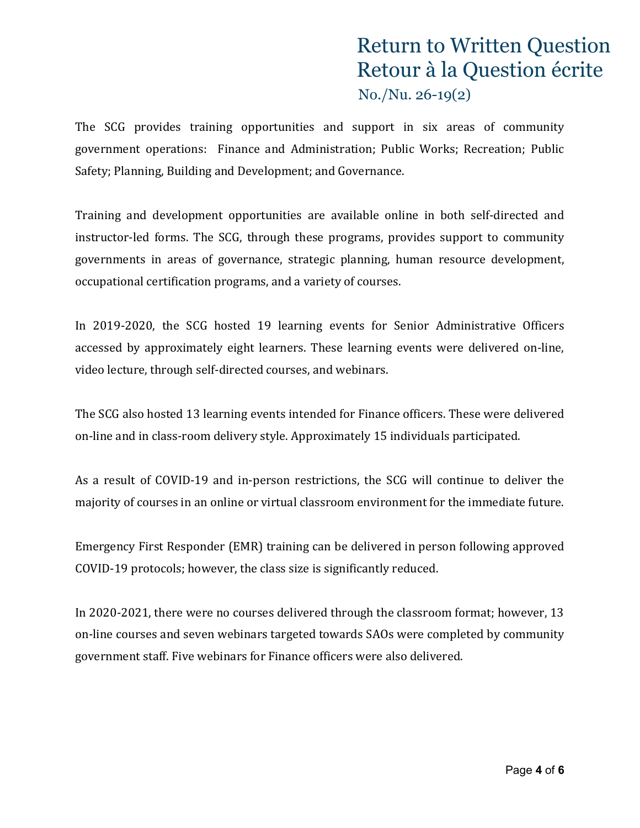The SCG provides training opportunities and support in six areas of community government operations: Finance and Administration; Public Works; Recreation; Public Safety; Planning, Building and Development; and Governance.

Training and development opportunities are available online in both self-directed and instructor-led forms. The SCG, through these programs, provides support to community governments in areas of governance, strategic planning, human resource development, occupational certification programs, and a variety of courses.

In 2019-2020, the SCG hosted 19 learning events for Senior Administrative Officers accessed by approximately eight learners. These learning events were delivered on-line, video lecture, through self-directed courses, and webinars.

The SCG also hosted 13 learning events intended for Finance officers. These were delivered on-line and in class-room delivery style. Approximately 15 individuals participated.

As a result of COVID-19 and in-person restrictions, the SCG will continue to deliver the majority of courses in an online or virtual classroom environment for the immediate future.

Emergency First Responder (EMR) training can be delivered in person following approved COVID-19 protocols; however, the class size is significantly reduced.

In 2020-2021, there were no courses delivered through the classroom format; however, 13 on-line courses and seven webinars targeted towards SAOs were completed by community government staff. Five webinars for Finance officers were also delivered.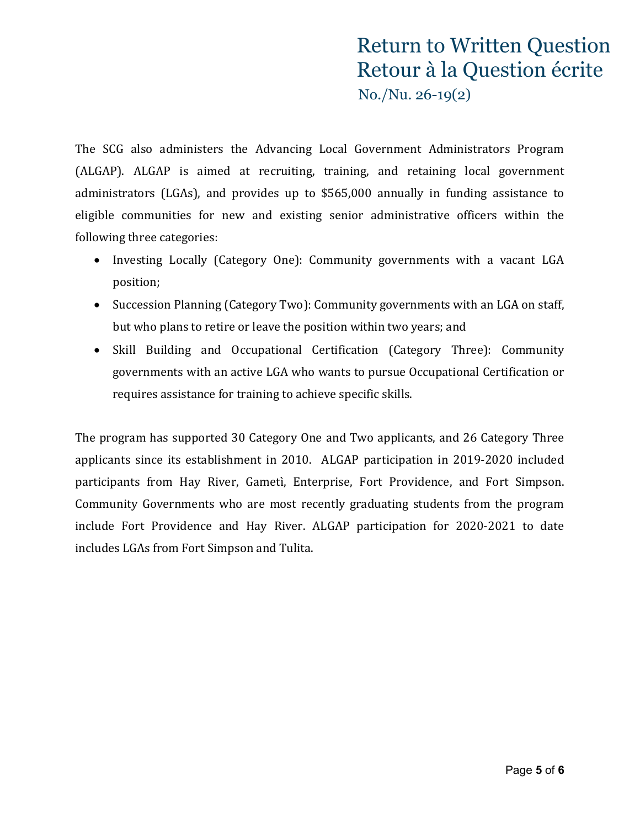The SCG also administers the Advancing Local Government Administrators Program (ALGAP). ALGAP is aimed at recruiting, training, and retaining local government administrators (LGAs), and provides up to \$565,000 annually in funding assistance to eligible communities for new and existing senior administrative officers within the following three categories:

- Investing Locally (Category One): Community governments with a vacant LGA position;
- Succession Planning (Category Two): Community governments with an LGA on staff, but who plans to retire or leave the position within two years; and
- Skill Building and Occupational Certification (Category Three): Community governments with an active LGA who wants to pursue Occupational Certification or requires assistance for training to achieve specific skills.

The program has supported 30 Category One and Two applicants, and 26 Category Three applicants since its establishment in 2010. ALGAP participation in 2019-2020 included participants from Hay River, Gametì, Enterprise, Fort Providence, and Fort Simpson. Community Governments who are most recently graduating students from the program include Fort Providence and Hay River. ALGAP participation for 2020-2021 to date includes LGAs from Fort Simpson and Tulita.